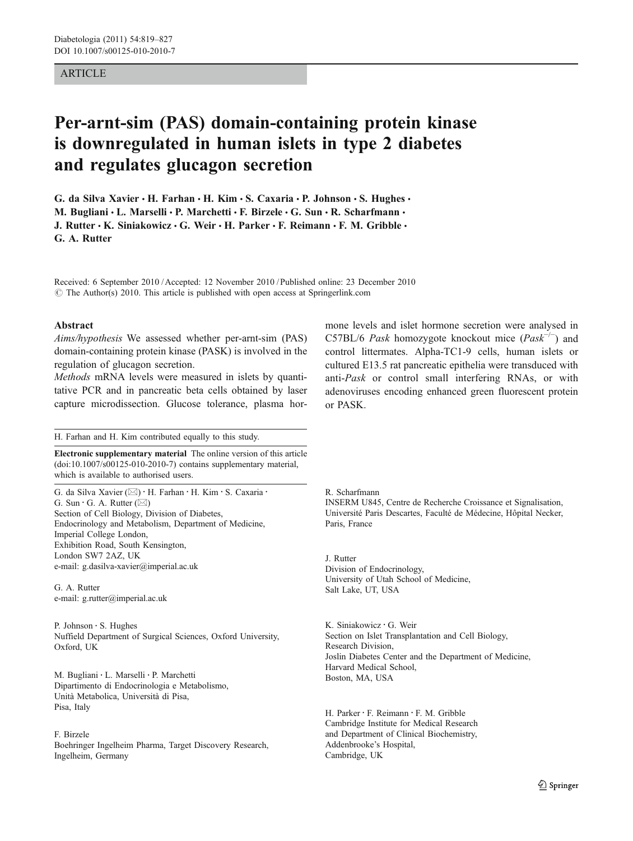## ARTICLE

# Per-arnt-sim (PAS) domain-containing protein kinase is downregulated in human islets in type 2 diabetes and regulates glucagon secretion

G. da Silva Xavier  $\cdot$  H. Farhan  $\cdot$  H. Kim  $\cdot$  S. Caxaria  $\cdot$  P. Johnson  $\cdot$  S. Hughes  $\cdot$ M. Bugliani · L. Marselli · P. Marchetti · F. Birzele · G. Sun · R. Scharfmann · J. Rutter  $\cdot$  K. Siniakowicz  $\cdot$  G. Weir  $\cdot$  H. Parker  $\cdot$  F. Reimann  $\cdot$  F. M. Gribble  $\cdot$ G. A. Rutter

Received: 6 September 2010 /Accepted: 12 November 2010 / Published online: 23 December 2010  $\odot$  The Author(s) 2010. This article is published with open access at Springerlink.com

### Abstract

Aims/hypothesis We assessed whether per-arnt-sim (PAS) domain-containing protein kinase (PASK) is involved in the regulation of glucagon secretion.

Methods mRNA levels were measured in islets by quantitative PCR and in pancreatic beta cells obtained by laser capture microdissection. Glucose tolerance, plasma hor-

H. Farhan and H. Kim contributed equally to this study.

Electronic supplementary material The online version of this article (doi:[10.1007/s00125-010-2010-7](http://dx.doi.org/10.1007/s00125-010-2010-7)) contains supplementary material, which is available to authorised users.

G. da Silva Xavier ( $\boxtimes$ ) · H. Farhan · H. Kim · S. Caxaria · G. Sun  $\cdot$  G. A. Rutter ( $\boxtimes$ ) Section of Cell Biology, Division of Diabetes, Endocrinology and Metabolism, Department of Medicine, Imperial College London, Exhibition Road, South Kensington, London SW7 2AZ, UK e-mail: g.dasilva-xavier@imperial.ac.uk

G. A. Rutter e-mail: g.rutter@imperial.ac.uk

P. Johnson : S. Hughes Nuffield Department of Surgical Sciences, Oxford University, Oxford, UK

M. Bugliani : L. Marselli : P. Marchetti Dipartimento di Endocrinologia e Metabolismo, Unità Metabolica, Università di Pisa, Pisa, Italy

### F. Birzele

Boehringer Ingelheim Pharma, Target Discovery Research, Ingelheim, Germany

mone levels and islet hormone secretion were analysed in C57BL/6 Pask homozygote knockout mice  $(Pask^{-/-})$  and control littermates. Alpha-TC1-9 cells, human islets or cultured E13.5 rat pancreatic epithelia were transduced with anti-Pask or control small interfering RNAs, or with adenoviruses encoding enhanced green fluorescent protein or PASK.

R. Scharfmann

INSERM U845, Centre de Recherche Croissance et Signalisation, Université Paris Descartes, Faculté de Médecine, Hôpital Necker, Paris, France

J. Rutter Division of Endocrinology, University of Utah School of Medicine, Salt Lake, UT, USA

K. Siniakowicz : G. Weir Section on Islet Transplantation and Cell Biology, Research Division, Joslin Diabetes Center and the Department of Medicine, Harvard Medical School, Boston, MA, USA

H. Parker : F. Reimann : F. M. Gribble Cambridge Institute for Medical Research and Department of Clinical Biochemistry, Addenbrooke's Hospital, Cambridge, UK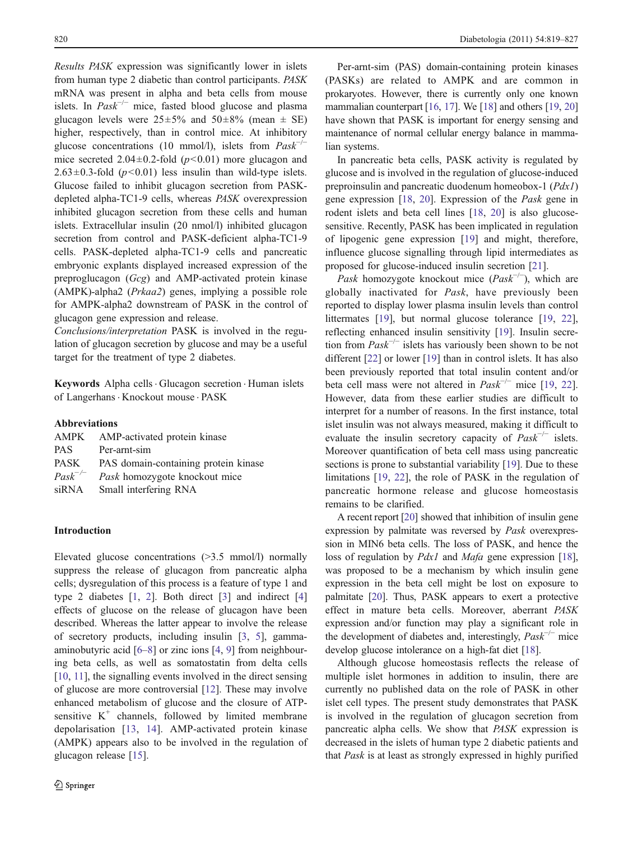Results PASK expression was significantly lower in islets from human type 2 diabetic than control participants. PASK mRNA was present in alpha and beta cells from mouse islets. In  $Pask^{-/-}$  mice, fasted blood glucose and plasma glucagon levels were  $25\pm5\%$  and  $50\pm8\%$  (mean  $\pm$  SE) higher, respectively, than in control mice. At inhibitory glucose concentrations (10 mmol/l), islets from  $Pask^{-/-}$ mice secreted  $2.04 \pm 0.2$ -fold ( $p < 0.01$ ) more glucagon and  $2.63\pm0.3$ -fold ( $p<0.01$ ) less insulin than wild-type islets. Glucose failed to inhibit glucagon secretion from PASKdepleted alpha-TC1-9 cells, whereas PASK overexpression inhibited glucagon secretion from these cells and human islets. Extracellular insulin (20 nmol/l) inhibited glucagon secretion from control and PASK-deficient alpha-TC1-9 cells. PASK-depleted alpha-TC1-9 cells and pancreatic embryonic explants displayed increased expression of the preproglucagon (Gcg) and AMP-activated protein kinase (AMPK)-alpha2 (Prkaa2) genes, implying a possible role for AMPK-alpha2 downstream of PASK in the control of glucagon gene expression and release.

Conclusions/interpretation PASK is involved in the regulation of glucagon secretion by glucose and may be a useful target for the treatment of type 2 diabetes.

Keywords Αlpha cells. Glucagon secretion . Human islets of Langerhans . Knockout mouse . PASK

Abbreviations

|              | AMPK AMP-activated protein kinase    |
|--------------|--------------------------------------|
| PAS.         | Per-arnt-sim                         |
| <b>PASK</b>  | PAS domain-containing protein kinase |
| $Task^{-/-}$ | <i>Pask</i> homozygote knockout mice |
| siRNA        | Small interfering RNA                |
|              |                                      |

# Introduction

Elevated glucose concentrations (>3.5 mmol/l) normally suppress the release of glucagon from pancreatic alpha cells; dysregulation of this process is a feature of type 1 and type 2 diabetes [[1,](#page-7-0) [2](#page-8-0)]. Both direct [\[3](#page-8-0)] and indirect [[4\]](#page-8-0) effects of glucose on the release of glucagon have been described. Whereas the latter appear to involve the release of secretory products, including insulin [\[3](#page-8-0), [5](#page-8-0)], gammaaminobutyric acid [[6](#page-8-0)–[8\]](#page-8-0) or zinc ions [[4,](#page-8-0) [9\]](#page-8-0) from neighbouring beta cells, as well as somatostatin from delta cells [\[10](#page-8-0), [11](#page-8-0)], the signalling events involved in the direct sensing of glucose are more controversial [\[12](#page-8-0)]. These may involve enhanced metabolism of glucose and the closure of ATPsensitive  $K^+$  channels, followed by limited membrane depolarisation [\[13](#page-8-0), [14\]](#page-8-0). AMP-activated protein kinase (AMPK) appears also to be involved in the regulation of glucagon release [\[15](#page-8-0)].

Per-arnt-sim (PAS) domain-containing protein kinases (PASKs) are related to AMPK and are common in prokaryotes. However, there is currently only one known mammalian counterpart [\[16,](#page-8-0) [17\]](#page-8-0). We [[18](#page-8-0)] and others [\[19](#page-8-0), [20](#page-8-0)] have shown that PASK is important for energy sensing and maintenance of normal cellular energy balance in mammalian systems.

In pancreatic beta cells, PASK activity is regulated by glucose and is involved in the regulation of glucose-induced preproinsulin and pancreatic duodenum homeobox-1 (Pdx1) gene expression [\[18](#page-8-0), [20\]](#page-8-0). Expression of the Pask gene in rodent islets and beta cell lines [[18,](#page-8-0) [20\]](#page-8-0) is also glucosesensitive. Recently, PASK has been implicated in regulation of lipogenic gene expression [[19\]](#page-8-0) and might, therefore, influence glucose signalling through lipid intermediates as proposed for glucose-induced insulin secretion [[21\]](#page-8-0).

Pask homozygote knockout mice  $(Pask^{-/-})$ , which are globally inactivated for Pask, have previously been reported to display lower plasma insulin levels than control littermates [\[19](#page-8-0)], but normal glucose tolerance [19, [22\]](#page-8-0), reflecting enhanced insulin sensitivity [\[19](#page-8-0)]. Insulin secretion from  $Pask^{-/-}$  islets has variously been shown to be not different [[22\]](#page-8-0) or lower [\[19](#page-8-0)] than in control islets. It has also been previously reported that total insulin content and/or beta cell mass were not altered in  $Pask^{-/-}$  mice [[19,](#page-8-0) [22\]](#page-8-0). However, data from these earlier studies are difficult to interpret for a number of reasons. In the first instance, total islet insulin was not always measured, making it difficult to evaluate the insulin secretory capacity of  $Pask^{-/-}$  islets. Moreover quantification of beta cell mass using pancreatic sections is prone to substantial variability [\[19](#page-8-0)]. Due to these limitations [\[19](#page-8-0), [22](#page-8-0)], the role of PASK in the regulation of pancreatic hormone release and glucose homeostasis remains to be clarified.

A recent report [[20](#page-8-0)] showed that inhibition of insulin gene expression by palmitate was reversed by Pask overexpression in MIN6 beta cells. The loss of PASK, and hence the loss of regulation by *Pdx1* and *Mafa* gene expression [[18\]](#page-8-0), was proposed to be a mechanism by which insulin gene expression in the beta cell might be lost on exposure to palmitate [[20\]](#page-8-0). Thus, PASK appears to exert a protective effect in mature beta cells. Moreover, aberrant PASK expression and/or function may play a significant role in the development of diabetes and, interestingly,  $Pask^{-/-}$  mice develop glucose intolerance on a high-fat diet [\[18\]](#page-8-0).

Although glucose homeostasis reflects the release of multiple islet hormones in addition to insulin, there are currently no published data on the role of PASK in other islet cell types. The present study demonstrates that PASK is involved in the regulation of glucagon secretion from pancreatic alpha cells. We show that PASK expression is decreased in the islets of human type 2 diabetic patients and that Pask is at least as strongly expressed in highly purified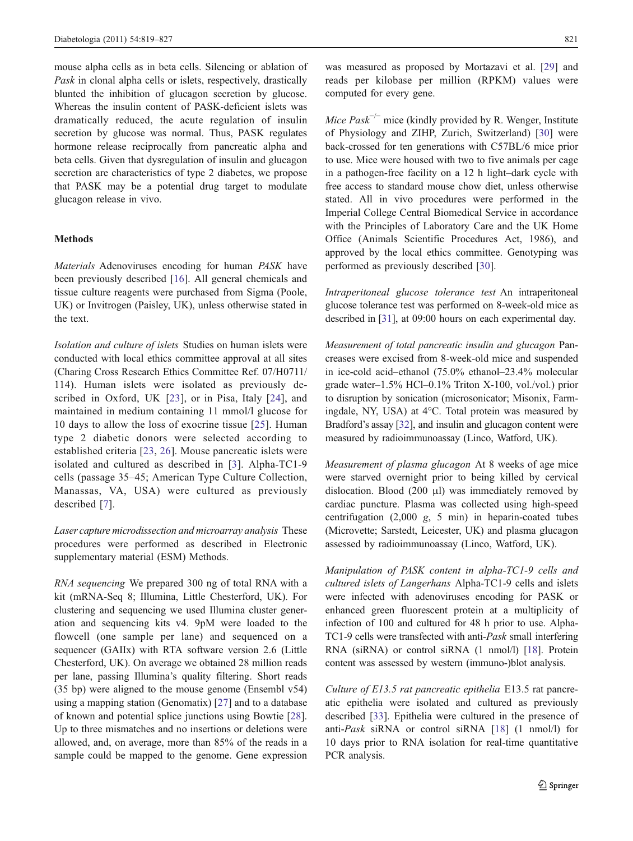mouse alpha cells as in beta cells. Silencing or ablation of Pask in clonal alpha cells or islets, respectively, drastically blunted the inhibition of glucagon secretion by glucose. Whereas the insulin content of PASK-deficient islets was dramatically reduced, the acute regulation of insulin secretion by glucose was normal. Thus, PASK regulates hormone release reciprocally from pancreatic alpha and beta cells. Given that dysregulation of insulin and glucagon secretion are characteristics of type 2 diabetes, we propose that PASK may be a potential drug target to modulate glucagon release in vivo.

# Methods

Materials Adenoviruses encoding for human PASK have been previously described [[16\]](#page-8-0). All general chemicals and tissue culture reagents were purchased from Sigma (Poole, UK) or Invitrogen (Paisley, UK), unless otherwise stated in the text.

Isolation and culture of islets Studies on human islets were conducted with local ethics committee approval at all sites (Charing Cross Research Ethics Committee Ref. 07/H0711/ 114). Human islets were isolated as previously described in Oxford, UK [[23\]](#page-8-0), or in Pisa, Italy [[24](#page-8-0)], and maintained in medium containing 11 mmol/l glucose for 10 days to allow the loss of exocrine tissue [[25\]](#page-8-0). Human type 2 diabetic donors were selected according to established criteria [[23](#page-8-0), [26\]](#page-8-0). Mouse pancreatic islets were isolated and cultured as described in [\[3](#page-8-0)]. Alpha-TC1-9 cells (passage 35–45; American Type Culture Collection, Manassas, VA, USA) were cultured as previously described [[7](#page-8-0)].

Laser capture microdissection and microarray analysis These procedures were performed as described in Electronic supplementary material (ESM) Methods.

RNA sequencing We prepared 300 ng of total RNA with a kit (mRNA-Seq 8; Illumina, Little Chesterford, UK). For clustering and sequencing we used Illumina cluster generation and sequencing kits v4. 9pM were loaded to the flowcell (one sample per lane) and sequenced on a sequencer (GAIIx) with RTA software version 2.6 (Little Chesterford, UK). On average we obtained 28 million reads per lane, passing Illumina's quality filtering. Short reads (35 bp) were aligned to the mouse genome (Ensembl v54) using a mapping station (Genomatix) [[27\]](#page-8-0) and to a database of known and potential splice junctions using Bowtie [\[28](#page-8-0)]. Up to three mismatches and no insertions or deletions were allowed, and, on average, more than 85% of the reads in a sample could be mapped to the genome. Gene expression

was measured as proposed by Mortazavi et al. [[29\]](#page-8-0) and reads per kilobase per million (RPKM) values were computed for every gene.

Mice  $Pask^{-/-}$  mice (kindly provided by R. Wenger, Institute of Physiology and ZIHP, Zurich, Switzerland) [\[30](#page-8-0)] were back-crossed for ten generations with C57BL/6 mice prior to use. Mice were housed with two to five animals per cage in a pathogen-free facility on a 12 h light–dark cycle with free access to standard mouse chow diet, unless otherwise stated. All in vivo procedures were performed in the Imperial College Central Biomedical Service in accordance with the Principles of Laboratory Care and the UK Home Office (Animals Scientific Procedures Act, 1986), and approved by the local ethics committee. Genotyping was performed as previously described [\[30](#page-8-0)].

Intraperitoneal glucose tolerance test An intraperitoneal glucose tolerance test was performed on 8-week-old mice as described in [\[31](#page-8-0)], at 09:00 hours on each experimental day.

Measurement of total pancreatic insulin and glucagon Pancreases were excised from 8-week-old mice and suspended in ice-cold acid–ethanol (75.0% ethanol–23.4% molecular grade water–1.5% HCl–0.1% Triton X-100, vol./vol.) prior to disruption by sonication (microsonicator; Misonix, Farmingdale, NY, USA) at 4°C. Total protein was measured by Bradford's assay [[32](#page-8-0)], and insulin and glucagon content were measured by radioimmunoassay (Linco, Watford, UK).

Measurement of plasma glucagon At 8 weeks of age mice were starved overnight prior to being killed by cervical dislocation. Blood (200 μl) was immediately removed by cardiac puncture. Plasma was collected using high-speed centrifugation  $(2,000 \text{ g}, 5 \text{ min})$  in heparin-coated tubes (Microvette; Sarstedt, Leicester, UK) and plasma glucagon assessed by radioimmunoassay (Linco, Watford, UK).

Manipulation of PASK content in alpha-TC1-9 cells and cultured islets of Langerhans Alpha-TC1-9 cells and islets were infected with adenoviruses encoding for PASK or enhanced green fluorescent protein at a multiplicity of infection of 100 and cultured for 48 h prior to use. Alpha-TC1-9 cells were transfected with anti-Pask small interfering RNA (siRNA) or control siRNA (1 nmol/l) [\[18\]](#page-8-0). Protein content was assessed by western (immuno-)blot analysis.

Culture of E13.5 rat pancreatic epithelia E13.5 rat pancreatic epithelia were isolated and cultured as previously described [\[33](#page-8-0)]. Epithelia were cultured in the presence of anti-Pask siRNA or control siRNA [[18\]](#page-8-0) (1 nmol/l) for 10 days prior to RNA isolation for real-time quantitative PCR analysis.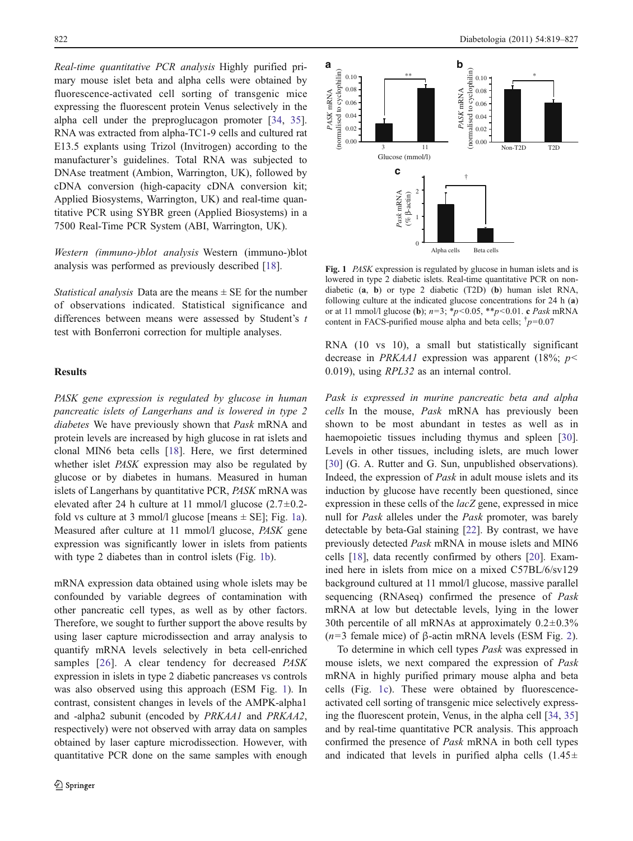<span id="page-3-0"></span>Real-time quantitative PCR analysis Highly purified primary mouse islet beta and alpha cells were obtained by fluorescence-activated cell sorting of transgenic mice expressing the fluorescent protein Venus selectively in the alpha cell under the preproglucagon promoter [[34](#page-8-0), [35](#page-8-0)]. RNA was extracted from alpha-TC1-9 cells and cultured rat E13.5 explants using Trizol (Invitrogen) according to the manufacturer's guidelines. Total RNA was subjected to DNAse treatment (Ambion, Warrington, UK), followed by cDNA conversion (high-capacity cDNA conversion kit; Applied Biosystems, Warrington, UK) and real-time quantitative PCR using SYBR green (Applied Biosystems) in a 7500 Real-Time PCR System (ABI, Warrington, UK).

Western (immuno-)blot analysis Western (immuno-)blot analysis was performed as previously described [\[18](#page-8-0)].

*Statistical analysis* Data are the means  $\pm$  SE for the number of observations indicated. Statistical significance and differences between means were assessed by Student's t test with Bonferroni correction for multiple analyses.

## Results

PASK gene expression is regulated by glucose in human pancreatic islets of Langerhans and is lowered in type 2 diabetes We have previously shown that Pask mRNA and protein levels are increased by high glucose in rat islets and clonal MIN6 beta cells [[18\]](#page-8-0). Here, we first determined whether islet PASK expression may also be regulated by glucose or by diabetes in humans. Measured in human islets of Langerhans by quantitative PCR, PASK mRNA was elevated after 24 h culture at 11 mmol/l glucose  $(2.7 \pm 0.2$ fold vs culture at 3 mmol/l glucose [means  $\pm$  SE]; Fig. 1a). Measured after culture at 11 mmol/l glucose, PASK gene expression was significantly lower in islets from patients with type 2 diabetes than in control islets (Fig. 1b).

mRNA expression data obtained using whole islets may be confounded by variable degrees of contamination with other pancreatic cell types, as well as by other factors. Therefore, we sought to further support the above results by using laser capture microdissection and array analysis to quantify mRNA levels selectively in beta cell-enriched samples [[26](#page-8-0)]. A clear tendency for decreased *PASK* expression in islets in type 2 diabetic pancreases vs controls was also observed using this approach (ESM Fig. 1). In contrast, consistent changes in levels of the AMPK-alpha1 and -alpha2 subunit (encoded by PRKAA1 and PRKAA2, respectively) were not observed with array data on samples obtained by laser capture microdissection. However, with quantitative PCR done on the same samples with enough



Fig. 1 *PASK* expression is regulated by glucose in human islets and is lowered in type 2 diabetic islets. Real-time quantitative PCR on nondiabetic (a, b) or type 2 diabetic (T2D) (b) human islet RNA, following culture at the indicated glucose concentrations for 24 h (a) or at 11 mmol/l glucose (**b**);  $n=3$ ;  $*p<0.05$ ,  $**p<0.01$ . c *Pask* mRNA content in FACS-purified mouse alpha and beta cells;  $\frac{1}{p}=0.07$ 

RNA (10 vs 10), a small but statistically significant decrease in PRKAA1 expression was apparent (18%;  $p$  < 0.019), using RPL32 as an internal control.

Pask is expressed in murine pancreatic beta and alpha cells In the mouse, Pask mRNA has previously been shown to be most abundant in testes as well as in haemopoietic tissues including thymus and spleen [[30\]](#page-8-0). Levels in other tissues, including islets, are much lower [\[30](#page-8-0)] (G. A. Rutter and G. Sun, unpublished observations). Indeed, the expression of Pask in adult mouse islets and its induction by glucose have recently been questioned, since expression in these cells of the *lacZ* gene, expressed in mice null for Pask alleles under the Pask promoter, was barely detectable by beta-Gal staining [[22\]](#page-8-0). By contrast, we have previously detected Pask mRNA in mouse islets and MIN6 cells [\[18](#page-8-0)], data recently confirmed by others [\[20](#page-8-0)]. Examined here in islets from mice on a mixed C57BL/6/sv129 background cultured at 11 mmol/l glucose, massive parallel sequencing (RNAseq) confirmed the presence of Pask mRNA at low but detectable levels, lying in the lower 30th percentile of all mRNAs at approximately  $0.2 \pm 0.3\%$  $(n=3$  female mice) of β-actin mRNA levels (ESM Fig. 2).

To determine in which cell types Pask was expressed in mouse islets, we next compared the expression of Pask mRNA in highly purified primary mouse alpha and beta cells (Fig. 1c). These were obtained by fluorescenceactivated cell sorting of transgenic mice selectively expressing the fluorescent protein, Venus, in the alpha cell [[34,](#page-8-0) [35](#page-8-0)] and by real-time quantitative PCR analysis. This approach confirmed the presence of Pask mRNA in both cell types and indicated that levels in purified alpha cells  $(1.45\pm$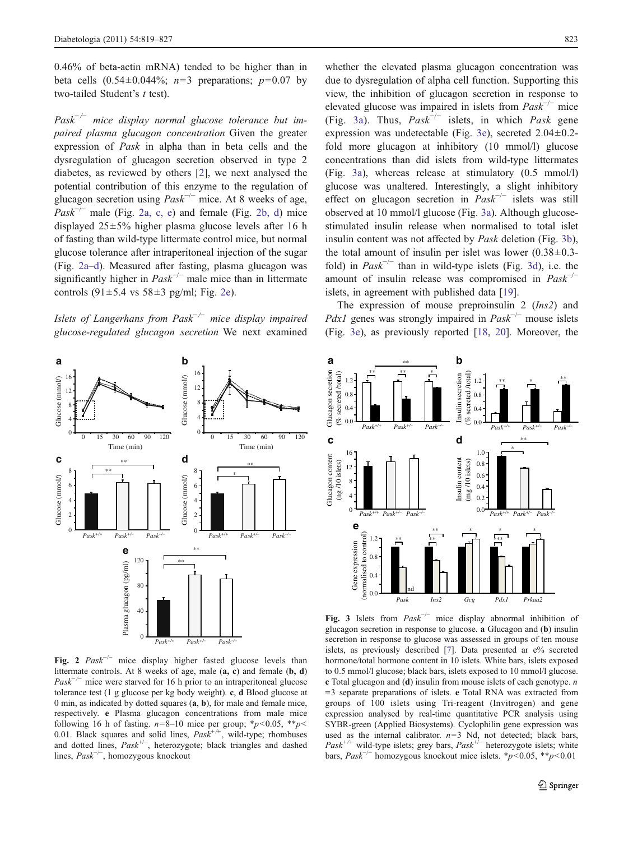<span id="page-4-0"></span>0.46% of beta-actin mRNA) tended to be higher than in beta cells  $(0.54 \pm 0.044\%; n=3$  preparations;  $p=0.07$  by two-tailed Student's t test).

 $Pask^{-/-}$  mice display normal glucose tolerance but impaired plasma glucagon concentration Given the greater expression of Pask in alpha than in beta cells and the dysregulation of glucagon secretion observed in type 2 diabetes, as reviewed by others [\[2](#page-8-0)], we next analysed the potential contribution of this enzyme to the regulation of glucagon secretion using  $Pask^{-/-}$  mice. At 8 weeks of age,  $Pask^{-/-}$  male (Fig. 2a, c, e) and female (Fig. 2b, d) mice displayed 25±5% higher plasma glucose levels after 16 h of fasting than wild-type littermate control mice, but normal glucose tolerance after intraperitoneal injection of the sugar (Fig. 2a–d). Measured after fasting, plasma glucagon was significantly higher in  $Pask^{-/-}$  male mice than in littermate controls  $(91 \pm 5.4 \text{ vs } 58 \pm 3 \text{ pg/ml}; \text{ Fig. 2e}).$ 

Islets of Langerhans from  $Pask^{-/-}$  mice display impaired glucose-regulated glucagon secretion We next examined



Fig. 2  $Pask^{-/-}$  mice display higher fasted glucose levels than littermate controls. At 8 weeks of age, male (a, c) and female (b, d)  $Pask^{-/-}$  mice were starved for 16 h prior to an intraperitoneal glucose tolerance test (1 g glucose per kg body weight). c, d Blood glucose at 0 min, as indicated by dotted squares (a, b), for male and female mice, respectively. e Plasma glucagon concentrations from male mice following 16 h of fasting.  $n=8-10$  mice per group;  $\frac{*}{p}<0.05$ ,  $\frac{*}{p}<$ 0.01. Black squares and solid lines,  $Pask^{+/+}$ , wild-type; rhombuses and dotted lines, Pask+/<sup>−</sup> , heterozygote; black triangles and dashed lines, Pask−/<sup>−</sup> , homozygous knockout

whether the elevated plasma glucagon concentration was due to dysregulation of alpha cell function. Supporting this view, the inhibition of glucagon secretion in response to elevated glucose was impaired in islets from  $Pask^{-/-}$  mice (Fig. 3a). Thus,  $Pask^{-/-}$  islets, in which Pask gene expression was undetectable (Fig. 3e), secreted 2.04±0.2 fold more glucagon at inhibitory (10 mmol/l) glucose concentrations than did islets from wild-type littermates (Fig. 3a), whereas release at stimulatory (0.5 mmol/l) glucose was unaltered. Interestingly, a slight inhibitory effect on glucagon secretion in  $Pask^{-/-}$  islets was still observed at 10 mmol/l glucose (Fig. 3a). Although glucosestimulated insulin release when normalised to total islet insulin content was not affected by Pask deletion (Fig. 3b), the total amount of insulin per islet was lower  $(0.38\pm0.3$ fold) in  $Pask^{-/-}$  than in wild-type islets (Fig. 3d), i.e. the amount of insulin release was compromised in  $Pask^{-1}$ islets, in agreement with published data [\[19](#page-8-0)].

The expression of mouse preproinsulin 2 (Ins2) and *Pdx1* genes was strongly impaired in  $Pask^{-/-}$  mouse islets (Fig. 3e), as previously reported [\[18](#page-8-0), [20](#page-8-0)]. Moreover, the



Fig. 3 Islets from  $Pask^{-/-}$  mice display abnormal inhibition of glucagon secretion in response to glucose. a Glucagon and (b) insulin secretion in response to glucose was assessed in groups of ten mouse islets, as previously described [\[7\]](#page-8-0). Data presented ar e% secreted hormone/total hormone content in 10 islets. White bars, islets exposed to 0.5 mmol/l glucose; black bars, islets exposed to 10 mmol/l glucose. c Total glucagon and (d) insulin from mouse islets of each genotype. n  $=$ 3 separate preparations of islets. e Total RNA was extracted from groups of 100 islets using Tri-reagent (Invitrogen) and gene expression analysed by real-time quantitative PCR analysis using SYBR-green (Applied Biosystems). Cyclophilin gene expression was used as the internal calibrator.  $n=3$  Nd, not detected; black bars,  $Pask^{+\prime+}$  wild-type islets; grey bars,  $Pask^{+\prime-}$  heterozygote islets; white bars,  $Pask^{-/-}$  homozygous knockout mice islets. \*p<0.05, \*\*p<0.01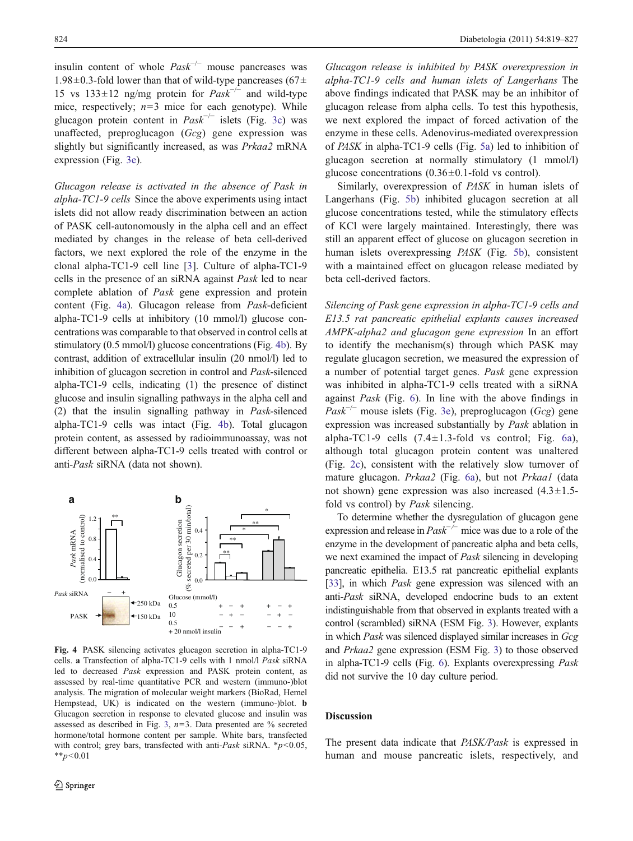<span id="page-5-0"></span>insulin content of whole  $Pask^{-/-}$  mouse pancreases was 1.98 $\pm$ 0.3-fold lower than that of wild-type pancreases (67 $\pm$ 15 vs 133±12 ng/mg protein for  $Pask^{-/-}$  and wild-type mice, respectively;  $n=3$  mice for each genotype). While glucagon protein content in  $Pask^{-/-}$  islets (Fig. [3c](#page-4-0)) was unaffected, preproglucagon (Gcg) gene expression was slightly but significantly increased, as was Prkaa2 mRNA expression (Fig. [3e](#page-4-0)).

Glucagon release is activated in the absence of Pask in alpha-TC1-9 cells Since the above experiments using intact islets did not allow ready discrimination between an action of PASK cell-autonomously in the alpha cell and an effect mediated by changes in the release of beta cell-derived factors, we next explored the role of the enzyme in the clonal alpha-TC1-9 cell line [\[3](#page-8-0)]. Culture of alpha-TC1-9 cells in the presence of an siRNA against Pask led to near complete ablation of Pask gene expression and protein content (Fig. 4a). Glucagon release from Pask-deficient alpha-TC1-9 cells at inhibitory (10 mmol/l) glucose concentrations was comparable to that observed in control cells at stimulatory (0.5 mmol/l) glucose concentrations (Fig. 4b). By contrast, addition of extracellular insulin (20 nmol/l) led to inhibition of glucagon secretion in control and Pask-silenced alpha-TC1-9 cells, indicating (1) the presence of distinct glucose and insulin signalling pathways in the alpha cell and (2) that the insulin signalling pathway in Pask-silenced alpha-TC1-9 cells was intact (Fig. 4b). Total glucagon protein content, as assessed by radioimmunoassay, was not different between alpha-TC1-9 cells treated with control or anti-Pask siRNA (data not shown).



Fig. 4 PASK silencing activates glucagon secretion in alpha-TC1-9 cells. a Transfection of alpha-TC1-9 cells with 1 nmol/l Pask siRNA led to decreased Pask expression and PASK protein content, as assessed by real-time quantitative PCR and western (immuno-)blot analysis. The migration of molecular weight markers (BioRad, Hemel Hempstead, UK) is indicated on the western (immuno-)blot. b Glucagon secretion in response to elevated glucose and insulin was assessed as described in Fig. [3,](#page-4-0)  $n=3$ . Data presented are % secreted hormone/total hormone content per sample. White bars, transfected with control; grey bars, transfected with anti-Pask siRNA.  $\frac{*p}{0.05}$ ,  $*_{p<0.01}$ 

Glucagon release is inhibited by PASK overexpression in alpha-TC1-9 cells and human islets of Langerhans The above findings indicated that PASK may be an inhibitor of glucagon release from alpha cells. To test this hypothesis, we next explored the impact of forced activation of the enzyme in these cells. Adenovirus-mediated overexpression of PASK in alpha-TC1-9 cells (Fig. [5a](#page-6-0)) led to inhibition of glucagon secretion at normally stimulatory (1 mmol/l) glucose concentrations  $(0.36 \pm 0.1 \text{-fold vs control}).$ 

Similarly, overexpression of PASK in human islets of Langerhans (Fig. [5b](#page-6-0)) inhibited glucagon secretion at all glucose concentrations tested, while the stimulatory effects of KCl were largely maintained. Interestingly, there was still an apparent effect of glucose on glucagon secretion in human islets overexpressing PASK (Fig. [5b](#page-6-0)), consistent with a maintained effect on glucagon release mediated by beta cell-derived factors.

Silencing of Pask gene expression in alpha-TC1-9 cells and E13.5 rat pancreatic epithelial explants causes increased AMPK-alpha2 and glucagon gene expression In an effort to identify the mechanism(s) through which PASK may regulate glucagon secretion, we measured the expression of a number of potential target genes. Pask gene expression was inhibited in alpha-TC1-9 cells treated with a siRNA against Pask (Fig. [6\)](#page-6-0). In line with the above findings in  $Pask^{-/-}$  mouse islets (Fig. [3e](#page-4-0)), preproglucagon (Gcg) gene expression was increased substantially by Pask ablation in alpha-TC1-9 cells  $(7.4 \pm 1.3 \text{-}$  fold vs control; Fig. [6a](#page-6-0)), although total glucagon protein content was unaltered (Fig. [2c](#page-4-0)), consistent with the relatively slow turnover of mature glucagon. Prkaa2 (Fig. [6a](#page-6-0)), but not Prkaa1 (data not shown) gene expression was also increased  $(4.3 \pm 1.5$ fold vs control) by Pask silencing.

To determine whether the dysregulation of glucagon gene expression and release in  $Pask^{-/-}$  mice was due to a role of the enzyme in the development of pancreatic alpha and beta cells, we next examined the impact of Pask silencing in developing pancreatic epithelia. E13.5 rat pancreatic epithelial explants [\[33\]](#page-8-0), in which *Pask* gene expression was silenced with an anti-Pask siRNA, developed endocrine buds to an extent indistinguishable from that observed in explants treated with a control (scrambled) siRNA (ESM Fig. 3). However, explants in which Pask was silenced displayed similar increases in Gcg and Prkaa2 gene expression (ESM Fig. 3) to those observed in alpha-TC1-9 cells (Fig. [6\)](#page-6-0). Explants overexpressing Pask did not survive the 10 day culture period.

## Discussion

The present data indicate that PASK/Pask is expressed in human and mouse pancreatic islets, respectively, and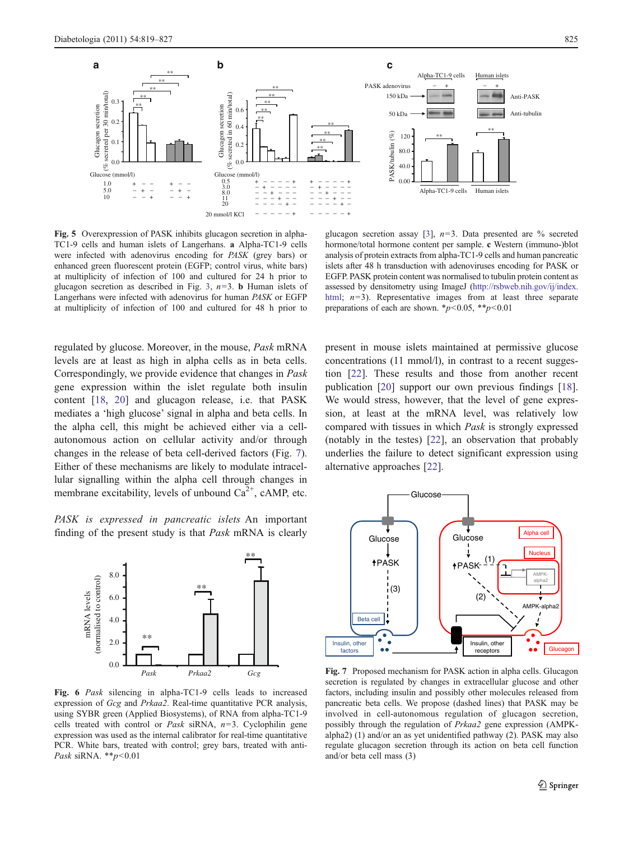<span id="page-6-0"></span>

Fig. 5 Overexpression of PASK inhibits glucagon secretion in alpha-TC1-9 cells and human islets of Langerhans. a Alpha-TC1-9 cells were infected with adenovirus encoding for PASK (grey bars) or enhanced green fluorescent protein (EGFP; control virus, white bars) at multiplicity of infection of 100 and cultured for 24 h prior to glucagon secretion as described in Fig. [3,](#page-4-0)  $n=3$ . **b** Human islets of Langerhans were infected with adenovirus for human PASK or EGFP at multiplicity of infection of 100 and cultured for 48 h prior to

regulated by glucose. Moreover, in the mouse, Pask mRNA levels are at least as high in alpha cells as in beta cells. Correspondingly, we provide evidence that changes in Pask gene expression within the islet regulate both insulin content [\[18](#page-8-0), [20\]](#page-8-0) and glucagon release, i.e. that PASK mediates a 'high glucose' signal in alpha and beta cells. In the alpha cell, this might be achieved either via a cellautonomous action on cellular activity and/or through changes in the release of beta cell-derived factors (Fig. 7). Either of these mechanisms are likely to modulate intracellular signalling within the alpha cell through changes in membrane excitability, levels of unbound  $Ca^{2+}$ , cAMP, etc.

PASK is expressed in pancreatic islets An important finding of the present study is that Pask mRNA is clearly



Fig. 6 Pask silencing in alpha-TC1-9 cells leads to increased expression of Gcg and Prkaa2. Real-time quantitative PCR analysis, using SYBR green (Applied Biosystems), of RNA from alpha-TC1-9 cells treated with control or Pask siRNA,  $n=3$ . Cyclophilin gene expression was used as the internal calibrator for real-time quantitative PCR. White bars, treated with control; grey bars, treated with anti-*Pask siRNA.* \*\* $p < 0.01$ 

glucagon secretion assay [[3\]](#page-8-0),  $n=3$ . Data presented are % secreted hormone/total hormone content per sample. c Western (immuno-)blot analysis of protein extracts from alpha-TC1-9 cells and human pancreatic islets after 48 h transduction with adenoviruses encoding for PASK or EGFP. PASK protein content was normalised to tubulin protein content as assessed by densitometry using ImageJ [\(http://rsbweb.nih.gov/ij/index.](http://rsbweb.nih.gov/ij/index.html) [html;](http://rsbweb.nih.gov/ij/index.html)  $n=3$ ). Representative images from at least three separate preparations of each are shown. \* $p$ <0.05, \*\* $p$ <0.01

present in mouse islets maintained at permissive glucose concentrations (11 mmol/l), in contrast to a recent suggestion [[22\]](#page-8-0). These results and those from another recent publication [\[20](#page-8-0)] support our own previous findings [[18\]](#page-8-0). We would stress, however, that the level of gene expression, at least at the mRNA level, was relatively low compared with tissues in which Pask is strongly expressed (notably in the testes) [\[22](#page-8-0)], an observation that probably underlies the failure to detect significant expression using alternative approaches [[22\]](#page-8-0).



Fig. 7 Proposed mechanism for PASK action in alpha cells. Glucagon secretion is regulated by changes in extracellular glucose and other factors, including insulin and possibly other molecules released from pancreatic beta cells. We propose (dashed lines) that PASK may be involved in cell-autonomous regulation of glucagon secretion, possibly through the regulation of Prkaa2 gene expression (AMPKalpha2) (1) and/or an as yet unidentified pathway (2). PASK may also regulate glucagon secretion through its action on beta cell function and/or beta cell mass (3)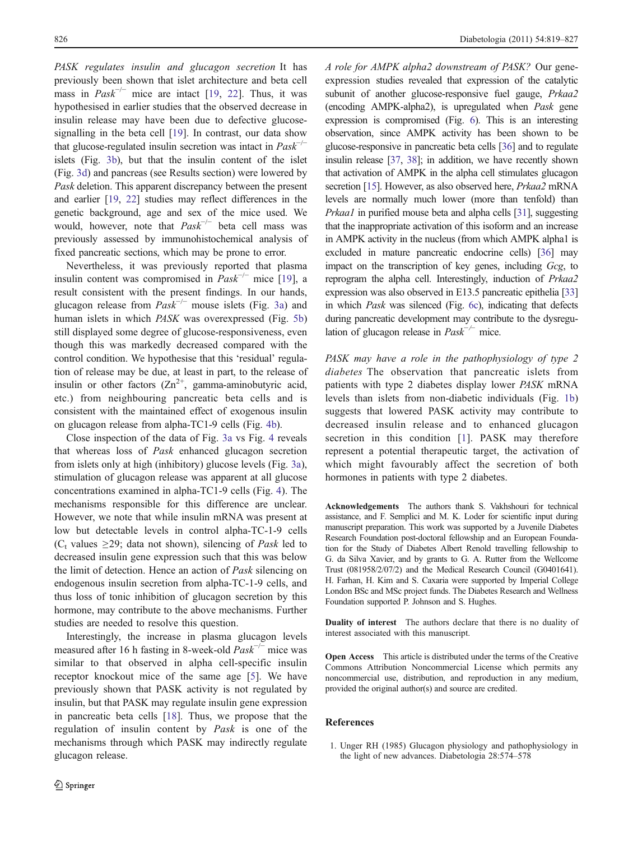<span id="page-7-0"></span>PASK regulates insulin and glucagon secretion It has previously been shown that islet architecture and beta cell mass in  $Pask^{-/-}$  mice are intact [\[19](#page-8-0), [22](#page-8-0)]. Thus, it was hypothesised in earlier studies that the observed decrease in insulin release may have been due to defective glucosesignalling in the beta cell [\[19](#page-8-0)]. In contrast, our data show that glucose-regulated insulin secretion was intact in  $Pask^{-1}$ islets (Fig. [3b\)](#page-4-0), but that the insulin content of the islet (Fig. [3d](#page-4-0)) and pancreas (see Results section) were lowered by Pask deletion. This apparent discrepancy between the present and earlier [[19,](#page-8-0) [22](#page-8-0)] studies may reflect differences in the genetic background, age and sex of the mice used. We would, however, note that  $Pask^{-/-}$  beta cell mass was previously assessed by immunohistochemical analysis of fixed pancreatic sections, which may be prone to error.

Nevertheless, it was previously reported that plasma insulin content was compromised in  $Pask^{-/-}$  mice [[19\]](#page-8-0), a result consistent with the present findings. In our hands, glucagon release from  $Pask^{-/-}$  mouse islets (Fig. [3a](#page-4-0)) and human islets in which PASK was overexpressed (Fig. [5b\)](#page-6-0) still displayed some degree of glucose-responsiveness, even though this was markedly decreased compared with the control condition. We hypothesise that this 'residual' regulation of release may be due, at least in part, to the release of insulin or other factors  $(Zn^{2+})$ , gamma-aminobutyric acid, etc.) from neighbouring pancreatic beta cells and is consistent with the maintained effect of exogenous insulin on glucagon release from alpha-TC1-9 cells (Fig. [4b](#page-5-0)).

Close inspection of the data of Fig. [3a](#page-4-0) vs Fig. [4](#page-5-0) reveals that whereas loss of Pask enhanced glucagon secretion from islets only at high (inhibitory) glucose levels (Fig. [3a](#page-4-0)), stimulation of glucagon release was apparent at all glucose concentrations examined in alpha-TC1-9 cells (Fig. [4](#page-5-0)). The mechanisms responsible for this difference are unclear. However, we note that while insulin mRNA was present at low but detectable levels in control alpha-TC-1-9 cells (C<sub>t</sub> values  $\geq$ 29; data not shown), silencing of *Pask* led to decreased insulin gene expression such that this was below the limit of detection. Hence an action of Pask silencing on endogenous insulin secretion from alpha-TC-1-9 cells, and thus loss of tonic inhibition of glucagon secretion by this hormone, may contribute to the above mechanisms. Further studies are needed to resolve this question.

Interestingly, the increase in plasma glucagon levels measured after 16 h fasting in 8-week-old  $Pask^{-/-}$  mice was similar to that observed in alpha cell-specific insulin receptor knockout mice of the same age [[5\]](#page-8-0). We have previously shown that PASK activity is not regulated by insulin, but that PASK may regulate insulin gene expression in pancreatic beta cells [[18\]](#page-8-0). Thus, we propose that the regulation of insulin content by Pask is one of the mechanisms through which PASK may indirectly regulate glucagon release.

A role for AMPK alpha2 downstream of PASK? Our geneexpression studies revealed that expression of the catalytic subunit of another glucose-responsive fuel gauge, Prkaa2 (encoding AMPK-alpha2), is upregulated when Pask gene expression is compromised (Fig. [6](#page-6-0)). This is an interesting observation, since AMPK activity has been shown to be glucose-responsive in pancreatic beta cells [\[36\]](#page-8-0) and to regulate insulin release [\[37,](#page-8-0) [38](#page-8-0)]; in addition, we have recently shown that activation of AMPK in the alpha cell stimulates glucagon secretion [\[15](#page-8-0)]. However, as also observed here, Prkaa2 mRNA levels are normally much lower (more than tenfold) than Prkaa1 in purified mouse beta and alpha cells [[31](#page-8-0)], suggesting that the inappropriate activation of this isoform and an increase in AMPK activity in the nucleus (from which AMPK alpha1 is excluded in mature pancreatic endocrine cells) [\[36](#page-8-0)] may impact on the transcription of key genes, including Gcg, to reprogram the alpha cell. Interestingly, induction of Prkaa2 expression was also observed in E13.5 pancreatic epithelia [[33](#page-8-0)] in which Pask was silenced (Fig. [6c\)](#page-6-0), indicating that defects during pancreatic development may contribute to the dysregulation of glucagon release in  $Pask^{-/-}$  mice.

PASK may have a role in the pathophysiology of type 2 diabetes The observation that pancreatic islets from patients with type 2 diabetes display lower PASK mRNA levels than islets from non-diabetic individuals (Fig. [1b](#page-3-0)) suggests that lowered PASK activity may contribute to decreased insulin release and to enhanced glucagon secretion in this condition [1]. PASK may therefore represent a potential therapeutic target, the activation of which might favourably affect the secretion of both hormones in patients with type 2 diabetes.

Acknowledgements The authors thank S. Vakhshouri for technical assistance, and F. Semplici and M. K. Loder for scientific input during manuscript preparation. This work was supported by a Juvenile Diabetes Research Foundation post-doctoral fellowship and an European Foundation for the Study of Diabetes Albert Renold travelling fellowship to G. da Silva Xavier, and by grants to G. A. Rutter from the Wellcome Trust (081958/2/07/2) and the Medical Research Council (G0401641). H. Farhan, H. Kim and S. Caxaria were supported by Imperial College London BSc and MSc project funds. The Diabetes Research and Wellness Foundation supported P. Johnson and S. Hughes.

Duality of interest The authors declare that there is no duality of interest associated with this manuscript.

Open Access This article is distributed under the terms of the Creative Commons Attribution Noncommercial License which permits any noncommercial use, distribution, and reproduction in any medium, provided the original author(s) and source are credited.

#### References

1. Unger RH (1985) Glucagon physiology and pathophysiology in the light of new advances. Diabetologia 28:574–578